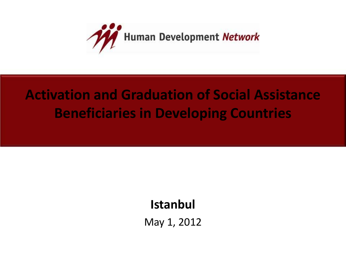

## **Activation and Graduation of Social Assistance Beneficiaries in Developing Countries**

#### **Istanbul**

May 1, 2012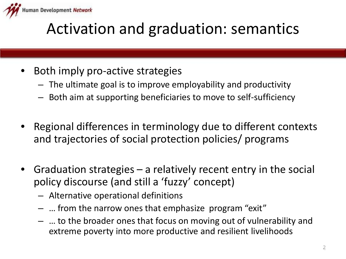

# Activation and graduation: semantics

- Both imply pro-active strategies
	- The ultimate goal is to improve employability and productivity
	- Both aim at supporting beneficiaries to move to self-sufficiency
- Regional differences in terminology due to different contexts and trajectories of social protection policies/ programs
- Graduation strategies  $-$  a relatively recent entry in the social policy discourse (and still a 'fuzzy' concept)
	- Alternative operational definitions
	- … from the narrow ones that emphasize program "exit"
	- … to the broader ones that focus on moving out of vulnerability and extreme poverty into more productive and resilient livelihoods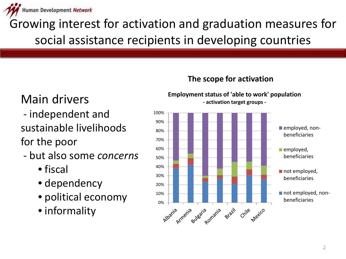

Growing interest for activation and graduation measures for social assistance recipients in developing countries

#### Main drivers

- independent and sustainable livelihoods for the poor
- but also some *concerns*
	- fiscal
	- dependency
	- political economy
	- informality

#### **The scope for activation**



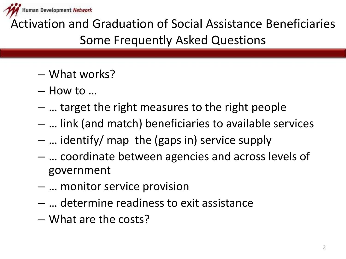

Activation and Graduation of Social Assistance Beneficiaries Some Frequently Asked Questions

- What works?
- How to …
- … target the right measures to the right people
- … link (and match) beneficiaries to available services
- … identify/ map the (gaps in) service supply
- … coordinate between agencies and across levels of government
- … monitor service provision
- … determine readiness to exit assistance
- What are the costs?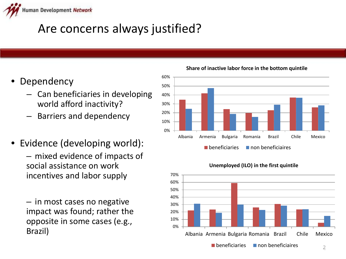

#### Are concerns always justified?

- **Dependency** 
	- Can beneficiaries in developing world afford inactivity?
	- Barriers and dependency
- Evidence (developing world):
	- mixed evidence of impacts of social assistance on work incentives and labor supply
	- in most cases no negative impact was found; rather the opposite in some cases (e.g., Brazil)

0% 10% 20% 30% 40% 50% 60% Albania Armenia Bulgaria Romania Brazil Chile Mexico  $\blacksquare$  beneficiaries  $\blacksquare$  non beneficiaires



#### **Unemployed (ILO) in the first quintile**

**Share of inactive labor force in the bottom quintile**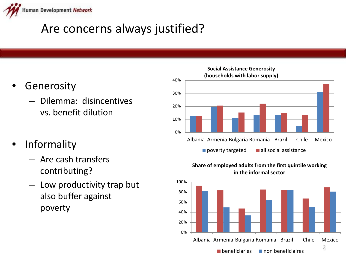

### Are concerns always justified?

- **Generosity** 
	- Dilemma: disincentives vs. benefit dilution
- Informality
	- Are cash transfers contributing?
	- Low productivity trap but also buffer against poverty



#### **Share of employed adults from the first quintile working in the informal sector**

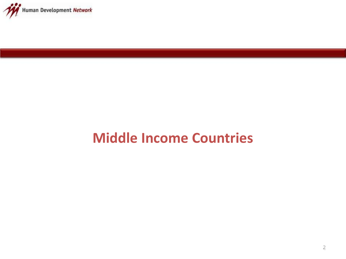

## **Middle Income Countries**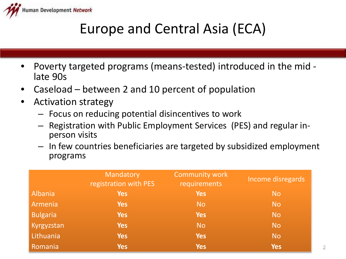

## Europe and Central Asia (ECA)

- Poverty targeted programs (means-tested) introduced in the mid late 90s
- Caseload between 2 and 10 percent of population
- Activation strategy
	- Focus on reducing potential disincentives to work
	- Registration with Public Employment Services (PES) and regular in- person visits
	- In few countries beneficiaries are targeted by subsidized employment programs

|                 | Mandatory<br>registration with PES | <b>Community work</b><br>requirements | Income disregards |
|-----------------|------------------------------------|---------------------------------------|-------------------|
| Albania         | <b>Yes</b>                         | <b>Yes</b>                            | <b>No</b>         |
| Armenia         | <b>Yes</b>                         | <b>No</b>                             | <b>No</b>         |
| <b>Bulgaria</b> | <b>Yes</b>                         | <b>Yes</b>                            | <b>No</b>         |
| Kyrgyzstan      | <b>Yes</b>                         | No.                                   | <b>No</b>         |
| Lithuania       | <b>Yes</b>                         | <b>Yes</b>                            | <b>No</b>         |
| Romania         | <b>Yes</b>                         | <b>Yes</b>                            | <b>Yes</b>        |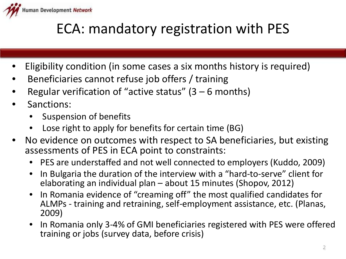

## ECA: mandatory registration with PES

- Eligibility condition (in some cases a six months history is required)
- Beneficiaries cannot refuse job offers / training
- Regular verification of "active status"  $(3 6$  months)
- Sanctions:
	- Suspension of benefits
	- Lose right to apply for benefits for certain time (BG)
- No evidence on outcomes with respect to SA beneficiaries, but existing assessments of PES in ECA point to constraints:
	- PES are understaffed and not well connected to employers (Kuddo, 2009)
	- In Bulgaria the duration of the interview with a "hard-to-serve" client for elaborating an individual plan – about 15 minutes (Shopov, 2012)
	- In Romania evidence of "creaming off" the most qualified candidates for ALMPs - training and retraining, self-employment assistance, etc. (Planas, 2009)
	- In Romania only 3-4% of GMI beneficiaries registered with PES were offered training or jobs (survey data, before crisis)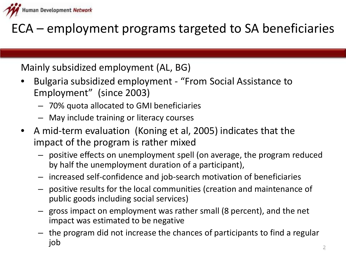

ECA – employment programs targeted to SA beneficiaries

Mainly subsidized employment (AL, BG)

- Bulgaria subsidized employment "From Social Assistance to Employment" (since 2003)
	- 70% quota allocated to GMI beneficiaries
	- May include training or literacy courses
- A mid-term evaluation (Koning et al, 2005) indicates that the impact of the program is rather mixed
	- positive effects on unemployment spell (on average, the program reduced by half the unemployment duration of a participant),
	- increased self-confidence and job-search motivation of beneficiaries
	- positive results for the local communities (creation and maintenance of public goods including social services)
	- gross impact on employment was rather small (8 percent), and the net impact was estimated to be negative
	- the program did not increase the chances of participants to find a regular job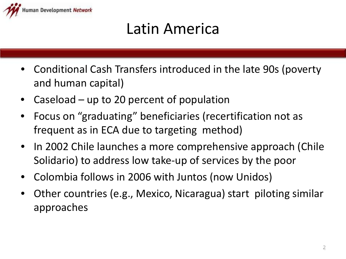

# Latin America

- Conditional Cash Transfers introduced in the late 90s (poverty and human capital)
- Caseload up to 20 percent of population
- Focus on "graduating" beneficiaries (recertification not as frequent as in ECA due to targeting method)
- In 2002 Chile launches a more comprehensive approach (Chile Solidario) to address low take-up of services by the poor
- Colombia follows in 2006 with Juntos (now Unidos)
- Other countries (e.g., Mexico, Nicaragua) start piloting similar approaches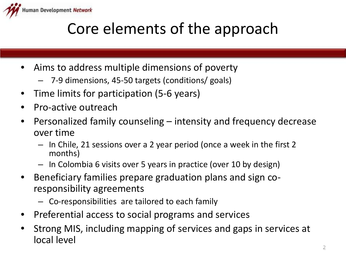

# Core elements of the approach

- Aims to address multiple dimensions of poverty
	- 7-9 dimensions, 45-50 targets (conditions/ goals)
- Time limits for participation (5-6 years)
- Pro-active outreach
- Personalized family counseling intensity and frequency decrease over time
	- In Chile, 21 sessions over a 2 year period (once a week in the first 2 months)
	- In Colombia 6 visits over 5 years in practice (over 10 by design)
- Beneficiary families prepare graduation plans and sign coresponsibility agreements
	- Co-responsibilities are tailored to each family
- Preferential access to social programs and services
- Strong MIS, including mapping of services and gaps in services at local level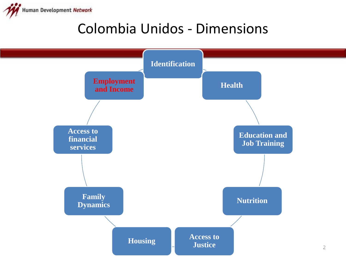

### Colombia Unidos - Dimensions

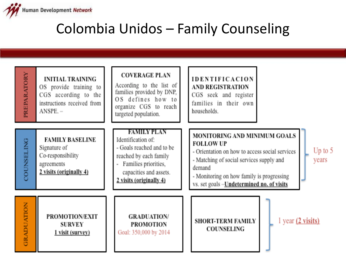

### Colombia Unidos – Family Counseling

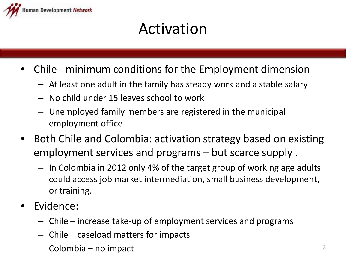

# Activation

- Chile minimum conditions for the Employment dimension
	- At least one adult in the family has steady work and a stable salary
	- No child under 15 leaves school to work
	- Unemployed family members are registered in the municipal employment office
- Both Chile and Colombia: activation strategy based on existing employment services and programs – but scarce supply .
	- In Colombia in 2012 only 4% of the target group of working age adults could access job market intermediation, small business development, or training.
- Evidence:
	- Chile increase take-up of employment services and programs
	- Chile caseload matters for impacts
	- Colombia no impact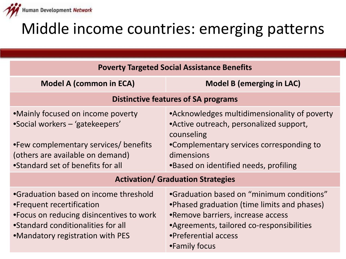

# Middle income countries: emerging patterns

| <b>Poverty Targeted Social Assistance Benefits</b>                                                                                                                                        |                                                                                                                                                                                                                      |  |  |
|-------------------------------------------------------------------------------------------------------------------------------------------------------------------------------------------|----------------------------------------------------------------------------------------------------------------------------------------------------------------------------------------------------------------------|--|--|
| <b>Model A (common in ECA)</b>                                                                                                                                                            | <b>Model B (emerging in LAC)</b>                                                                                                                                                                                     |  |  |
| <b>Distinctive features of SA programs</b>                                                                                                                                                |                                                                                                                                                                                                                      |  |  |
| •Mainly focused on income poverty<br>•Social workers – 'gatekeepers'<br>•Few complementary services/ benefits<br>(others are available on demand)<br>•Standard set of benefits for all    | • Acknowledges multidimensionality of poverty<br>• Active outreach, personalized support,<br>counseling<br>•Complementary services corresponding to<br>dimensions<br>•Based on identified needs, profiling           |  |  |
| <b>Activation/ Graduation Strategies</b>                                                                                                                                                  |                                                                                                                                                                                                                      |  |  |
| •Graduation based on income threshold<br>• Frequent recertification<br>•Focus on reducing disincentives to work<br>•Standard conditionalities for all<br>•Mandatory registration with PES | •Graduation based on "minimum conditions"<br>• Phased graduation (time limits and phases)<br>•Remove barriers, increase access<br>•Agreements, tailored co-responsibilities<br>•Preferential access<br>•Family focus |  |  |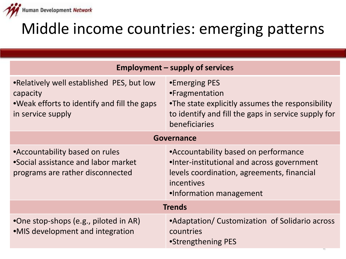

# Middle income countries: emerging patterns

|                                                                                                                            | <b>Employment – supply of services</b>                                                                                                                                    |  |
|----------------------------------------------------------------------------------------------------------------------------|---------------------------------------------------------------------------------------------------------------------------------------------------------------------------|--|
| • Relatively well established PES, but low<br>capacity<br>•Weak efforts to identify and fill the gaps<br>in service supply | •Emerging PES<br>•Fragmentation<br>•The state explicitly assumes the responsibility<br>to identify and fill the gaps in service supply for<br>beneficiaries               |  |
| <b>Governance</b>                                                                                                          |                                                                                                                                                                           |  |
| •Accountability based on rules<br>•Social assistance and labor market<br>programs are rather disconnected                  | •Accountability based on performance<br>•Inter-institutional and across government<br>levels coordination, agreements, financial<br>incentives<br>•Information management |  |
| <b>Trends</b>                                                                                                              |                                                                                                                                                                           |  |
| •One stop-shops (e.g., piloted in AR)<br>•MIS development and integration                                                  | •Adaptation/ Customization of Solidario across<br>countries<br>•Strengthening PES                                                                                         |  |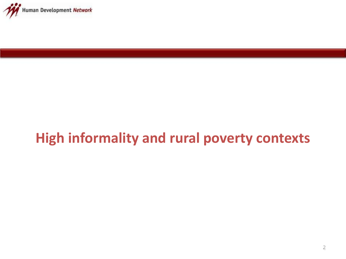

## **High informality and rural poverty contexts**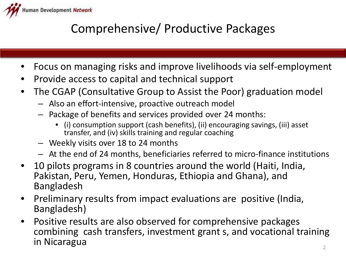

#### Comprehensive/ Productive Packages

- Focus on managing risks and improve livelihoods via self-employment
- Provide access to capital and technical support
- The CGAP (Consultative Group to Assist the Poor) graduation model
	- Also an effort-intensive, proactive outreach model
	- Package of benefits and services provided over 24 months:
		- (i) consumption support (cash benefits), (ii) encouraging savings, (iii) asset transfer, and (iv) skills training and regular coaching
	- Weekly visits over 18 to 24 months
	- At the end of 24 months, beneficiaries referred to micro-finance institutions
- 10 pilots programs in 8 countries around the world (Haiti, India, Pakistan, Peru, Yemen, Honduras, Ethiopia and Ghana), and Bangladesh
- Preliminary results from impact evaluations are positive (India, Bangladesh)
- Positive results are also observed for comprehensive packages combining cash transfers, investment grant s, and vocational training in Nicaragua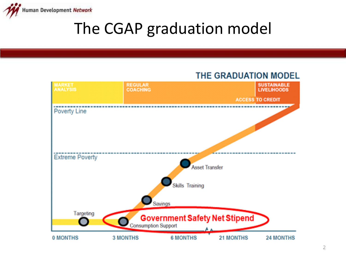

# The CGAP graduation model